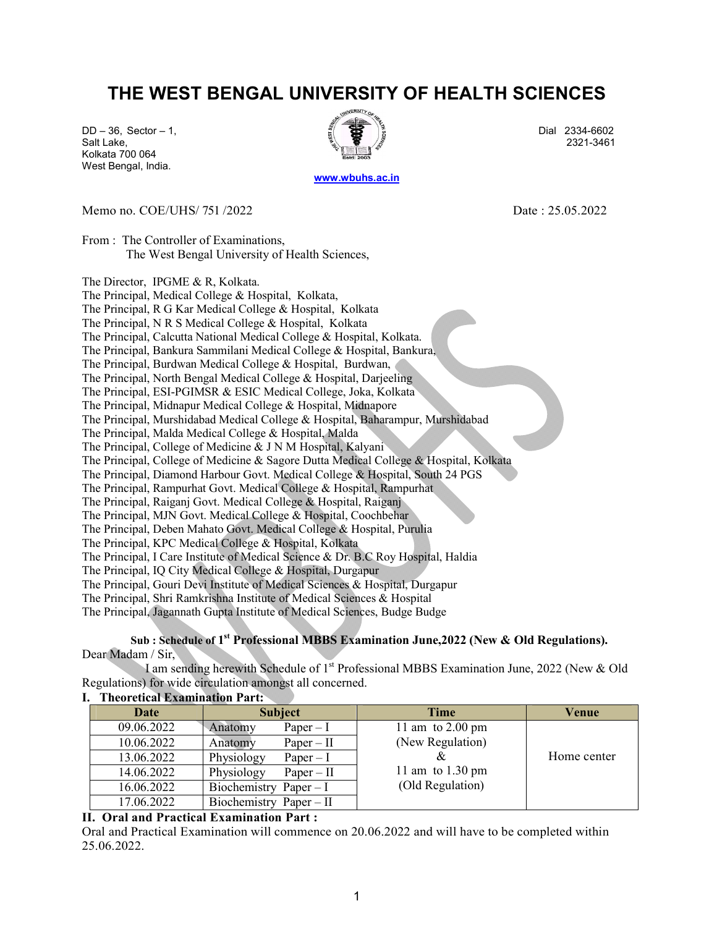## THE WEST BENGAL UNIVERSITY OF HEALTH SCIENCES

 $\frac{2}{3}$  DD – 36, Sector – 1, Dial 2334-6602 Salt Lake, 2321-3461 Kolkata 700 064 West Bengal, India.



www.wbuhs.ac.in

Memo no. COE/UHS/ 751 /2022 Date : 25.05.2022

From : The Controller of Examinations. The West Bengal University of Health Sciences,

The Director, IPGME & R, Kolkata.

The Principal, Medical College & Hospital, Kolkata,

The Principal, R G Kar Medical College & Hospital, Kolkata

The Principal, N R S Medical College & Hospital, Kolkata

The Principal, Calcutta National Medical College & Hospital, Kolkata.

The Principal, Bankura Sammilani Medical College & Hospital, Bankura,

The Principal, Burdwan Medical College & Hospital, Burdwan,

The Principal, North Bengal Medical College & Hospital, Darjeeling

The Principal, ESI-PGIMSR & ESIC Medical College, Joka, Kolkata

The Principal, Midnapur Medical College & Hospital, Midnapore

The Principal, Murshidabad Medical College & Hospital, Baharampur, Murshidabad

The Principal, Malda Medical College & Hospital, Malda

The Principal, College of Medicine & J N M Hospital, Kalyani

The Principal, College of Medicine & Sagore Dutta Medical College & Hospital, Kolkata

The Principal, Diamond Harbour Govt. Medical College & Hospital, South 24 PGS

The Principal, Rampurhat Govt. Medical College & Hospital, Rampurhat

The Principal, Raiganj Govt. Medical College & Hospital, Raiganj

The Principal, MJN Govt. Medical College & Hospital, Coochbehar

The Principal, Deben Mahato Govt. Medical College & Hospital, Purulia

The Principal, KPC Medical College & Hospital, Kolkata

The Principal, I Care Institute of Medical Science & Dr. B.C Roy Hospital, Haldia

The Principal, IQ City Medical College & Hospital, Durgapur

The Principal, Gouri Devi Institute of Medical Sciences & Hospital, Durgapur

The Principal, Shri Ramkrishna Institute of Medical Sciences & Hospital

The Principal, Jagannath Gupta Institute of Medical Sciences, Budge Budge

Sub : Schedule of 1<sup>st</sup> Professional MBBS Examination June, 2022 (New & Old Regulations). Dear Madam / Sir,

 I am sending herewith Schedule of 1st Professional MBBS Examination June, 2022 (New & Old Regulations) for wide circulation amongst all concerned.

## I. Theoretical Examination Part:

| Date       | <b>Subject</b>                     | <b>Time</b>                | Venue       |
|------------|------------------------------------|----------------------------|-------------|
| 09.06.2022 | Paper $-I$<br>Anatomy              | 11 am to $2.00 \text{ pm}$ |             |
| 10.06.2022 | $Paper - II$<br>Anatomy            | (New Regulation)           |             |
| 13.06.2022 | Physiology<br>Paper $-I$           |                            | Home center |
| 14.06.2022 | Physiology<br>$Paper - II$         | 11 am to $1.30 \text{ pm}$ |             |
| 16.06.2022 | <b>Biochemistry</b><br>$Paper - I$ | (Old Regulation)           |             |
| 17.06.2022 | Biochemistry Paper - II            |                            |             |

## II. Oral and Practical Examination Part :

Oral and Practical Examination will commence on 20.06.2022 and will have to be completed within 25.06.2022.